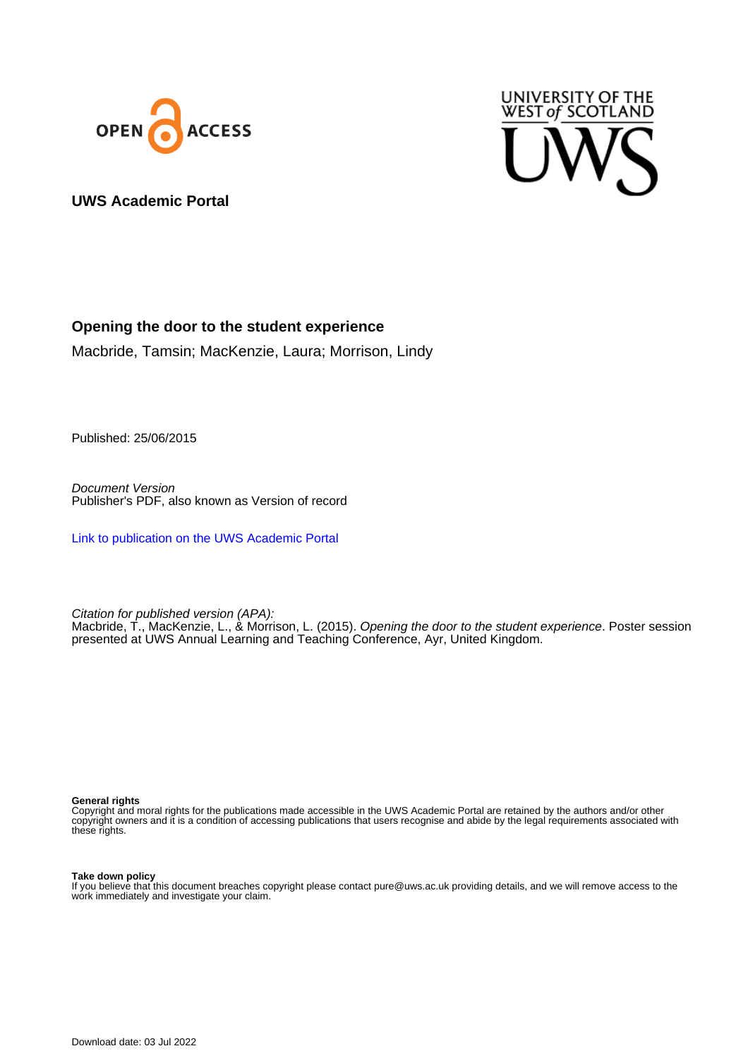



**UWS Academic Portal**

### **Opening the door to the student experience**

Macbride, Tamsin; MacKenzie, Laura; Morrison, Lindy

Published: 25/06/2015

Document Version Publisher's PDF, also known as Version of record

[Link to publication on the UWS Academic Portal](https://uws.pure.elsevier.com/en/publications/4f1cba9a-741c-4603-91fd-c481f7a63ff3)

Citation for published version (APA):

Macbride, T., MacKenzie, L., & Morrison, L. (2015). *Opening the door to the student experience*. Poster session presented at UWS Annual Learning and Teaching Conference, Ayr, United Kingdom.

**General rights**

Copyright and moral rights for the publications made accessible in the UWS Academic Portal are retained by the authors and/or other copyright owners and it is a condition of accessing publications that users recognise and abide by the legal requirements associated with these rights.

### **Take down policy**

If you believe that this document breaches copyright please contact pure@uws.ac.uk providing details, and we will remove access to the work immediately and investigate your claim.